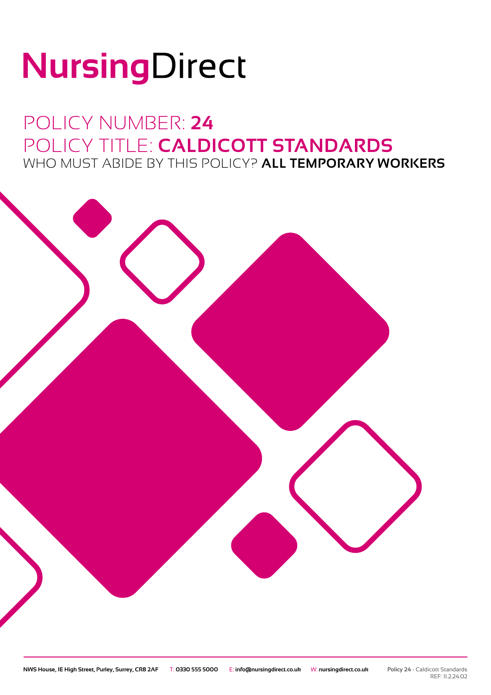# NursingDirect

### POLICY NUMBER: **24** POLICY TITLE: **CALDICOTT STANDARDS** WHO MUST ABIDE BY THIS POLICY? **ALL TEMPORARY WORKERS**